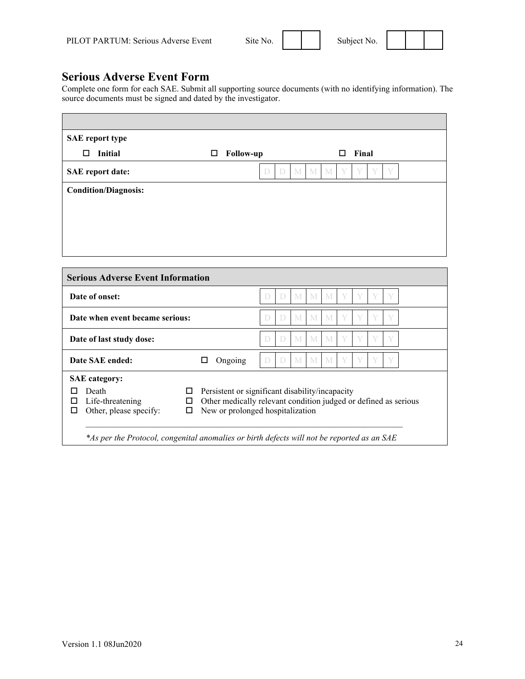| te No. |  |  |
|--------|--|--|
|        |  |  |

**Serious Adverse Event Form**

Complete one form for each SAE. Submit all supporting source documents (with no identifying information). The source documents must be signed and dated by the investigator.

| <b>SAE</b> report type      |                            |                                   |
|-----------------------------|----------------------------|-----------------------------------|
| <b>Initial</b><br>□         | $\Box$<br><b>Follow-up</b> | Final<br>□                        |
| <b>SAE</b> report date:     | D<br>D                     | Y<br>V<br>V<br>Y<br>M  <br>M<br>M |
| <b>Condition/Diagnosis:</b> |                            |                                   |
|                             |                            |                                   |
|                             |                            |                                   |
|                             |                            |                                   |

| Date of onset:                                                                                       |                                                                                                                                                        |        |   |   | M M M |   |   |   |
|------------------------------------------------------------------------------------------------------|--------------------------------------------------------------------------------------------------------------------------------------------------------|--------|---|---|-------|---|---|---|
| Date when event became serious:                                                                      | D                                                                                                                                                      | $\Box$ | M | M | M     |   | V |   |
| Date of last study dose:                                                                             |                                                                                                                                                        | D      | D | M | M     | M |   | V |
| Date SAE ended:                                                                                      | Ongoing                                                                                                                                                |        |   | M | M     | M |   | V |
| <b>SAE</b> category:<br>Death<br>ப<br>Life-threatening<br>□<br>ப<br>Other, please specify:<br>п<br>□ | Persistent or significant disability/incapacity<br>Other medically relevant condition judged or defined as serious<br>New or prolonged hospitalization |        |   |   |       |   |   |   |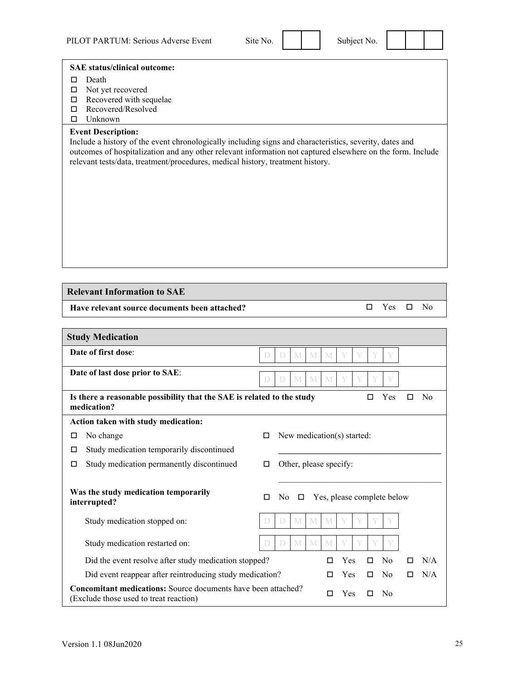## **SAE status/clinical outcome:**

- Death
- $\square$  Not yet recovered
- $\Box$  Recovered with sequelae
- □ Recovered/Resolved
- $\square$  Unknown

## **Event Description:**

Include a history of the event chronologically including signs and characteristics, severity, dates and outcomes of hospitalization and any other relevant information not captured elsewhere on the form. Include relevant tests/data, treatment/procedures, medical history, treatment history.

## **Relevant Information to SAE**

**Have relevant source documents been attached?**  $\square$  Yes  $\square$  No

| <b>Study Medication</b>                                                                                                               |                                                  |  |  |  |  |  |  |  |  |
|---------------------------------------------------------------------------------------------------------------------------------------|--------------------------------------------------|--|--|--|--|--|--|--|--|
| Date of first dose:                                                                                                                   | M<br>M<br>M<br>V<br>D<br>$\Box$                  |  |  |  |  |  |  |  |  |
| Date of last dose prior to SAE:<br>M<br>M<br>M<br>V<br>D<br>$\Box$                                                                    |                                                  |  |  |  |  |  |  |  |  |
| Is there a reasonable possibility that the SAE is related to the study<br>Yes<br>No<br>П<br>П<br>medication?                          |                                                  |  |  |  |  |  |  |  |  |
| Action taken with study medication:                                                                                                   |                                                  |  |  |  |  |  |  |  |  |
| No change<br>□                                                                                                                        | New medication(s) started:<br>П                  |  |  |  |  |  |  |  |  |
| Study medication temporarily discontinued<br>◻                                                                                        |                                                  |  |  |  |  |  |  |  |  |
| Study medication permanently discontinued<br>□                                                                                        | Other, please specify:<br>□                      |  |  |  |  |  |  |  |  |
| Was the study medication temporarily<br>interrupted?                                                                                  | Yes, please complete below<br>No.<br>□<br>$\Box$ |  |  |  |  |  |  |  |  |
| Study medication stopped on:                                                                                                          | M<br>M<br>M<br>D<br>$\Box$                       |  |  |  |  |  |  |  |  |
| Study medication restarted on:                                                                                                        | M<br>M<br>M<br>$\Box$<br>D                       |  |  |  |  |  |  |  |  |
| Did the event resolve after study medication stopped?                                                                                 | N/A<br>Yes<br>□<br>No<br>п                       |  |  |  |  |  |  |  |  |
| Did event reappear after reintroducing study medication?                                                                              | N/A<br>Yes<br>No<br>□<br>П<br>□                  |  |  |  |  |  |  |  |  |
| <b>Concomitant medications:</b> Source documents have been attached?<br>Yes<br>No<br>п<br>П<br>(Exclude those used to treat reaction) |                                                  |  |  |  |  |  |  |  |  |